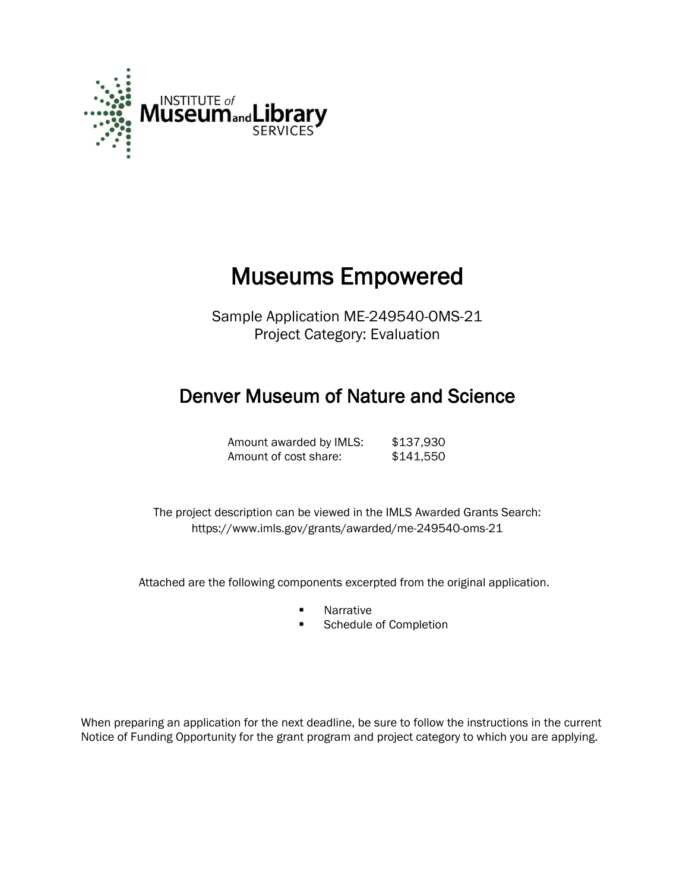

# Museums Empowered

Sample Application ME-249540-OMS-21 Project Category: Evaluation

# Denver Museum of Nature and Science

Amount awarded by IMLS: \$137,930 Amount of cost share: \$141,550

 The project description can be viewed in the IMLS Awarded Grants Search: <https://www.imls.gov/grants/awarded/me-249540-oms-21>

Attached are the following components excerpted from the original application.

- **Narrative**
- **Schedule of Completion**

When preparing an application for the next deadline, be sure to follow the instructions in the current Notice of Funding Opportunity for the grant program and project category to which you are applying.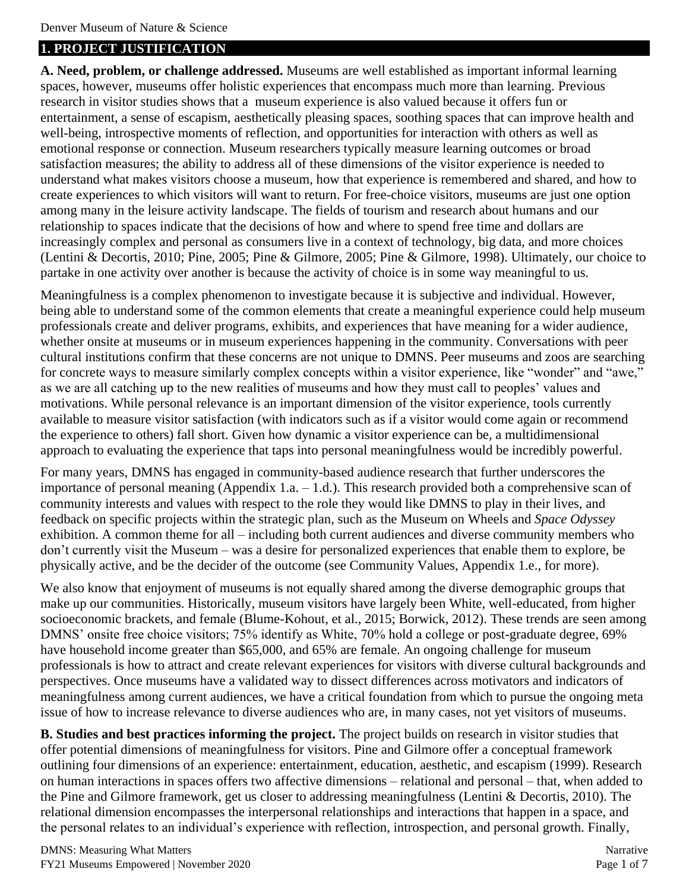### **1. PROJECT JUSTIFICATION**

**A. Need, problem, or challenge addressed.** Museums are well established as important informal learning spaces, however, museums offer holistic experiences that encompass much more than learning. Previous research in visitor studies shows that a museum experience is also valued because it offers fun or entertainment, a sense of escapism, aesthetically pleasing spaces, soothing spaces that can improve health and well-being, introspective moments of reflection, and opportunities for interaction with others as well as emotional response or connection. Museum researchers typically measure learning outcomes or broad satisfaction measures; the ability to address all of these dimensions of the visitor experience is needed to understand what makes visitors choose a museum, how that experience is remembered and shared, and how to create experiences to which visitors will want to return. For free-choice visitors, museums are just one option among many in the leisure activity landscape. The fields of tourism and research about humans and our relationship to spaces indicate that the decisions of how and where to spend free time and dollars are increasingly complex and personal as consumers live in a context of technology, big data, and more choices (Lentini & Decortis, 2010; Pine, 2005; Pine & Gilmore, 2005; Pine & Gilmore, 1998). Ultimately, our choice to partake in one activity over another is because the activity of choice is in some way meaningful to us.

Meaningfulness is a complex phenomenon to investigate because it is subjective and individual. However, being able to understand some of the common elements that create a meaningful experience could help museum professionals create and deliver programs, exhibits, and experiences that have meaning for a wider audience, whether onsite at museums or in museum experiences happening in the community. Conversations with peer cultural institutions confirm that these concerns are not unique to DMNS. Peer museums and zoos are searching for concrete ways to measure similarly complex concepts within a visitor experience, like "wonder" and "awe," as we are all catching up to the new realities of museums and how they must call to peoples' values and motivations. While personal relevance is an important dimension of the visitor experience, tools currently available to measure visitor satisfaction (with indicators such as if a visitor would come again or recommend the experience to others) fall short. Given how dynamic a visitor experience can be, a multidimensional approach to evaluating the experience that taps into personal meaningfulness would be incredibly powerful.

For many years, DMNS has engaged in community-based audience research that further underscores the importance of personal meaning (Appendix 1.a. – 1.d.). This research provided both a comprehensive scan of community interests and values with respect to the role they would like DMNS to play in their lives, and feedback on specific projects within the strategic plan, such as the Museum on Wheels and *Space Odyssey* exhibition. A common theme for all – including both current audiences and diverse community members who don't currently visit the Museum – was a desire for personalized experiences that enable them to explore, be physically active, and be the decider of the outcome (see Community Values, Appendix 1.e., for more).

We also know that enjoyment of museums is not equally shared among the diverse demographic groups that make up our communities. Historically, museum visitors have largely been White, well-educated, from higher socioeconomic brackets, and female (Blume-Kohout, et al., 2015; Borwick, 2012). These trends are seen among DMNS' onsite free choice visitors; 75% identify as White, 70% hold a college or post-graduate degree, 69% have household income greater than \$65,000, and 65% are female. An ongoing challenge for museum professionals is how to attract and create relevant experiences for visitors with diverse cultural backgrounds and perspectives. Once museums have a validated way to dissect differences across motivators and indicators of meaningfulness among current audiences, we have a critical foundation from which to pursue the ongoing meta issue of how to increase relevance to diverse audiences who are, in many cases, not yet visitors of museums.

**B. Studies and best practices informing the project.** The project builds on research in visitor studies that offer potential dimensions of meaningfulness for visitors. Pine and Gilmore offer a conceptual framework outlining four dimensions of an experience: entertainment, education, aesthetic, and escapism (1999). Research on human interactions in spaces offers two affective dimensions – relational and personal – that, when added to the Pine and Gilmore framework, get us closer to addressing meaningfulness (Lentini & Decortis, 2010). The relational dimension encompasses the interpersonal relationships and interactions that happen in a space, and the personal relates to an individual's experience with reflection, introspection, and personal growth. Finally,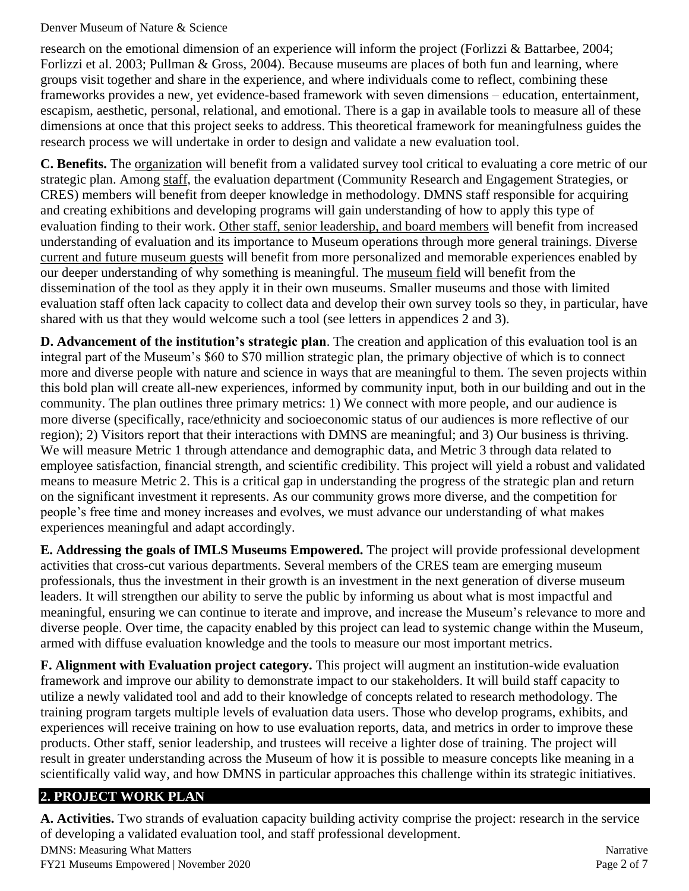research on the emotional dimension of an experience will inform the project (Forlizzi & Battarbee, 2004; Forlizzi et al. 2003; Pullman & Gross, 2004). Because museums are places of both fun and learning, where groups visit together and share in the experience, and where individuals come to reflect, combining these frameworks provides a new, yet evidence-based framework with seven dimensions – education, entertainment, escapism, aesthetic, personal, relational, and emotional. There is a gap in available tools to measure all of these dimensions at once that this project seeks to address. This theoretical framework for meaningfulness guides the research process we will undertake in order to design and validate a new evaluation tool.

**C. Benefits.** The organization will benefit from a validated survey tool critical to evaluating a core metric of our strategic plan. Among staff, the evaluation department (Community Research and Engagement Strategies, or CRES) members will benefit from deeper knowledge in methodology. DMNS staff responsible for acquiring and creating exhibitions and developing programs will gain understanding of how to apply this type of evaluation finding to their work. Other staff, senior leadership, and board members will benefit from increased understanding of evaluation and its importance to Museum operations through more general trainings. Diverse current and future museum guests will benefit from more personalized and memorable experiences enabled by our deeper understanding of why something is meaningful. The museum field will benefit from the dissemination of the tool as they apply it in their own museums. Smaller museums and those with limited evaluation staff often lack capacity to collect data and develop their own survey tools so they, in particular, have shared with us that they would welcome such a tool (see letters in appendices 2 and 3).

**D. Advancement of the institution's strategic plan**. The creation and application of this evaluation tool is an integral part of the Museum's \$60 to \$70 million strategic plan, the primary objective of which is to connect more and diverse people with nature and science in ways that are meaningful to them. The seven projects within this bold plan will create all-new experiences, informed by community input, both in our building and out in the community. The plan outlines three primary metrics: 1) We connect with more people, and our audience is more diverse (specifically, race/ethnicity and socioeconomic status of our audiences is more reflective of our region); 2) Visitors report that their interactions with DMNS are meaningful; and 3) Our business is thriving. We will measure Metric 1 through attendance and demographic data, and Metric 3 through data related to employee satisfaction, financial strength, and scientific credibility. This project will yield a robust and validated means to measure Metric 2. This is a critical gap in understanding the progress of the strategic plan and return on the significant investment it represents. As our community grows more diverse, and the competition for people's free time and money increases and evolves, we must advance our understanding of what makes experiences meaningful and adapt accordingly.

**E. Addressing the goals of IMLS Museums Empowered.** The project will provide professional development activities that cross-cut various departments. Several members of the CRES team are emerging museum professionals, thus the investment in their growth is an investment in the next generation of diverse museum leaders. It will strengthen our ability to serve the public by informing us about what is most impactful and meaningful, ensuring we can continue to iterate and improve, and increase the Museum's relevance to more and diverse people. Over time, the capacity enabled by this project can lead to systemic change within the Museum, armed with diffuse evaluation knowledge and the tools to measure our most important metrics.

**F. Alignment with Evaluation project category.** This project will augment an institution-wide evaluation framework and improve our ability to demonstrate impact to our stakeholders. It will build staff capacity to utilize a newly validated tool and add to their knowledge of concepts related to research methodology. The training program targets multiple levels of evaluation data users. Those who develop programs, exhibits, and experiences will receive training on how to use evaluation reports, data, and metrics in order to improve these products. Other staff, senior leadership, and trustees will receive a lighter dose of training. The project will result in greater understanding across the Museum of how it is possible to measure concepts like meaning in a scientifically valid way, and how DMNS in particular approaches this challenge within its strategic initiatives.

## **2. PROJECT WORK PLAN**

DMNS: Measuring What Matters Narrative **A. Activities.** Two strands of evaluation capacity building activity comprise the project: research in the service of developing a validated evaluation tool, and staff professional development.

FY21 Museums Empowered | November 2020 Page 2 of 7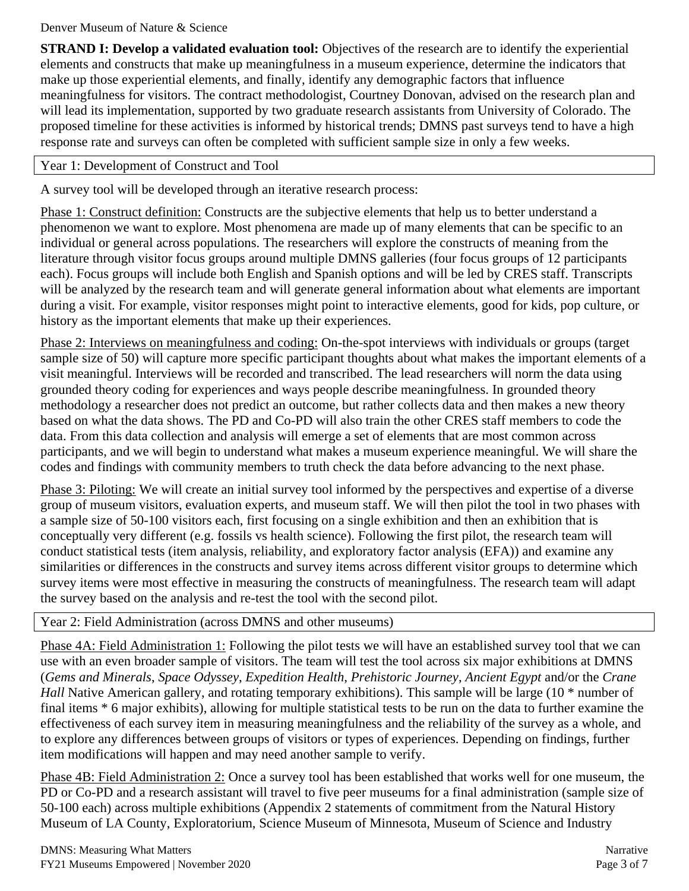**STRAND I: Develop a validated evaluation tool:** Objectives of the research are to identify the experiential elements and constructs that make up meaningfulness in a museum experience, determine the indicators that make up those experiential elements, and finally, identify any demographic factors that influence meaningfulness for visitors. The contract methodologist, Courtney Donovan, advised on the research plan and will lead its implementation, supported by two graduate research assistants from University of Colorado. The proposed timeline for these activities is informed by historical trends; DMNS past surveys tend to have a high response rate and surveys can often be completed with sufficient sample size in only a few weeks.

#### Year 1: Development of Construct and Tool

A survey tool will be developed through an iterative research process:

Phase 1: Construct definition: Constructs are the subjective elements that help us to better understand a phenomenon we want to explore. Most phenomena are made up of many elements that can be specific to an individual or general across populations. The researchers will explore the constructs of meaning from the literature through visitor focus groups around multiple DMNS galleries (four focus groups of 12 participants each). Focus groups will include both English and Spanish options and will be led by CRES staff. Transcripts will be analyzed by the research team and will generate general information about what elements are important during a visit. For example, visitor responses might point to interactive elements, good for kids, pop culture, or history as the important elements that make up their experiences.

Phase 2: Interviews on meaningfulness and coding: On-the-spot interviews with individuals or groups (target sample size of 50) will capture more specific participant thoughts about what makes the important elements of a visit meaningful. Interviews will be recorded and transcribed. The lead researchers will norm the data using grounded theory coding for experiences and ways people describe meaningfulness. In grounded theory methodology a researcher does not predict an outcome, but rather collects data and then makes a new theory based on what the data shows. The PD and Co-PD will also train the other CRES staff members to code the data. From this data collection and analysis will emerge a set of elements that are most common across participants, and we will begin to understand what makes a museum experience meaningful. We will share the codes and findings with community members to truth check the data before advancing to the next phase.

Phase 3: Piloting: We will create an initial survey tool informed by the perspectives and expertise of a diverse group of museum visitors, evaluation experts, and museum staff. We will then pilot the tool in two phases with a sample size of 50-100 visitors each, first focusing on a single exhibition and then an exhibition that is conceptually very different (e.g. fossils vs health science). Following the first pilot, the research team will conduct statistical tests (item analysis, reliability, and exploratory factor analysis (EFA)) and examine any similarities or differences in the constructs and survey items across different visitor groups to determine which survey items were most effective in measuring the constructs of meaningfulness. The research team will adapt the survey based on the analysis and re-test the tool with the second pilot.

#### Year 2: Field Administration (across DMNS and other museums)

Phase 4A: Field Administration 1: Following the pilot tests we will have an established survey tool that we can use with an even broader sample of visitors. The team will test the tool across six major exhibitions at DMNS (*Gems and Minerals*, *Space Odyssey*, *Expedition Health*, *Prehistoric Journey*, *Ancient Egypt* and/or the *Crane Hall* Native American gallery, and rotating temporary exhibitions). This sample will be large (10  $*$  number of final items \* 6 major exhibits), allowing for multiple statistical tests to be run on the data to further examine the effectiveness of each survey item in measuring meaningfulness and the reliability of the survey as a whole, and to explore any differences between groups of visitors or types of experiences. Depending on findings, further item modifications will happen and may need another sample to verify.

Phase 4B: Field Administration 2: Once a survey tool has been established that works well for one museum, the PD or Co-PD and a research assistant will travel to five peer museums for a final administration (sample size of 50-100 each) across multiple exhibitions (Appendix 2 statements of commitment from the Natural History Museum of LA County, Exploratorium, Science Museum of Minnesota, Museum of Science and Industry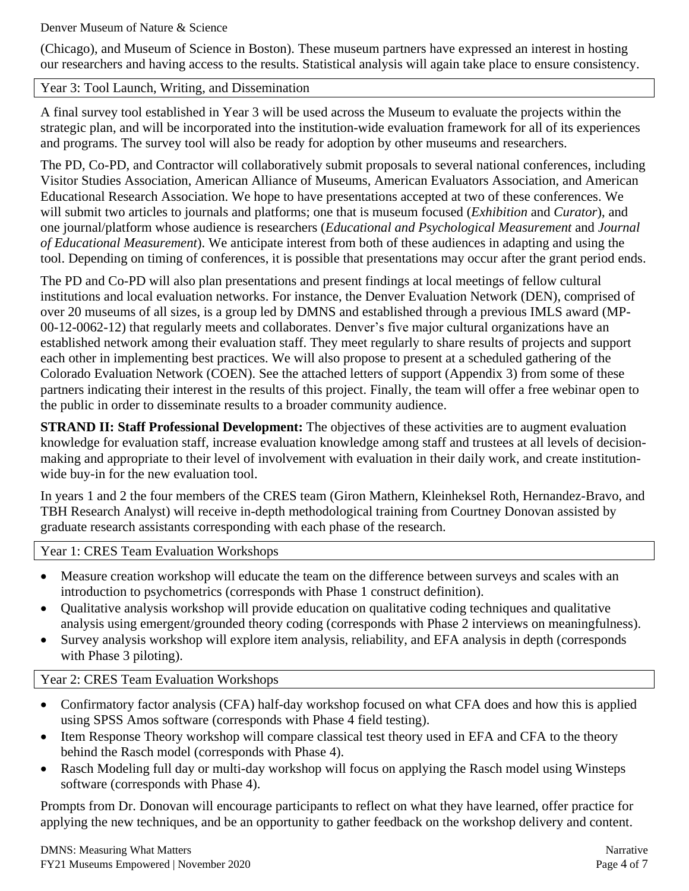(Chicago), and Museum of Science in Boston). These museum partners have expressed an interest in hosting our researchers and having access to the results. Statistical analysis will again take place to ensure consistency.

#### Year 3: Tool Launch, Writing, and Dissemination

A final survey tool established in Year 3 will be used across the Museum to evaluate the projects within the strategic plan, and will be incorporated into the institution-wide evaluation framework for all of its experiences and programs. The survey tool will also be ready for adoption by other museums and researchers.

The PD, Co-PD, and Contractor will collaboratively submit proposals to several national conferences, including Visitor Studies Association, American Alliance of Museums, American Evaluators Association, and American Educational Research Association. We hope to have presentations accepted at two of these conferences. We will submit two articles to journals and platforms; one that is museum focused (*Exhibition* and *Curator*), and one journal/platform whose audience is researchers (*Educational and Psychological Measurement* and *Journal of Educational Measurement*). We anticipate interest from both of these audiences in adapting and using the tool. Depending on timing of conferences, it is possible that presentations may occur after the grant period ends.

The PD and Co-PD will also plan presentations and present findings at local meetings of fellow cultural institutions and local evaluation networks. For instance, the Denver Evaluation Network (DEN), comprised of over 20 museums of all sizes, is a group led by DMNS and established through a previous IMLS award (MP-00-12-0062-12) that regularly meets and collaborates. Denver's five major cultural organizations have an established network among their evaluation staff. They meet regularly to share results of projects and support each other in implementing best practices. We will also propose to present at a scheduled gathering of the Colorado Evaluation Network (COEN). See the attached letters of support (Appendix 3) from some of these partners indicating their interest in the results of this project. Finally, the team will offer a free webinar open to the public in order to disseminate results to a broader community audience.

**STRAND II: Staff Professional Development:** The objectives of these activities are to augment evaluation knowledge for evaluation staff, increase evaluation knowledge among staff and trustees at all levels of decisionmaking and appropriate to their level of involvement with evaluation in their daily work, and create institutionwide buy-in for the new evaluation tool.

In years 1 and 2 the four members of the CRES team (Giron Mathern, Kleinheksel Roth, Hernandez-Bravo, and TBH Research Analyst) will receive in-depth methodological training from Courtney Donovan assisted by graduate research assistants corresponding with each phase of the research.

#### Year 1: CRES Team Evaluation Workshops

- Measure creation workshop will educate the team on the difference between surveys and scales with an introduction to psychometrics (corresponds with Phase 1 construct definition).
- Qualitative analysis workshop will provide education on qualitative coding techniques and qualitative analysis using emergent/grounded theory coding (corresponds with Phase 2 interviews on meaningfulness).
- Survey analysis workshop will explore item analysis, reliability, and EFA analysis in depth (corresponds with Phase 3 piloting).

#### Year 2: CRES Team Evaluation Workshops

- Confirmatory factor analysis (CFA) half-day workshop focused on what CFA does and how this is applied using SPSS Amos software (corresponds with Phase 4 field testing).
- Item Response Theory workshop will compare classical test theory used in EFA and CFA to the theory behind the Rasch model (corresponds with Phase 4).
- Rasch Modeling full day or multi-day workshop will focus on applying the Rasch model using Winsteps software (corresponds with Phase 4).

Prompts from Dr. Donovan will encourage participants to reflect on what they have learned, offer practice for applying the new techniques, and be an opportunity to gather feedback on the workshop delivery and content.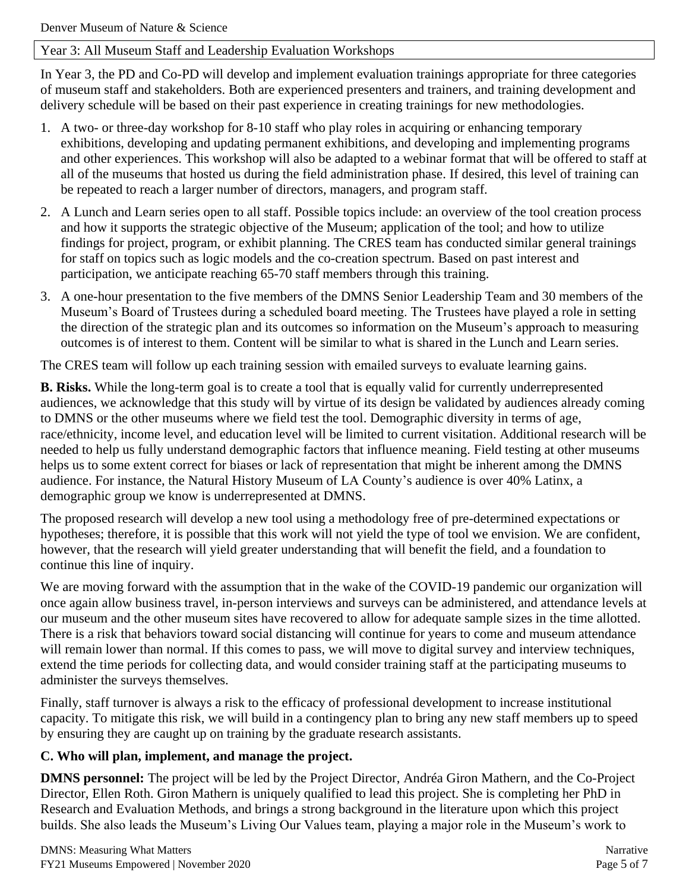#### Year 3: All Museum Staff and Leadership Evaluation Workshops

In Year 3, the PD and Co-PD will develop and implement evaluation trainings appropriate for three categories of museum staff and stakeholders. Both are experienced presenters and trainers, and training development and delivery schedule will be based on their past experience in creating trainings for new methodologies.

- 1. A two- or three-day workshop for 8-10 staff who play roles in acquiring or enhancing temporary exhibitions, developing and updating permanent exhibitions, and developing and implementing programs and other experiences. This workshop will also be adapted to a webinar format that will be offered to staff at all of the museums that hosted us during the field administration phase. If desired, this level of training can be repeated to reach a larger number of directors, managers, and program staff.
- 2. A Lunch and Learn series open to all staff. Possible topics include: an overview of the tool creation process and how it supports the strategic objective of the Museum; application of the tool; and how to utilize findings for project, program, or exhibit planning. The CRES team has conducted similar general trainings for staff on topics such as logic models and the co-creation spectrum. Based on past interest and participation, we anticipate reaching 65-70 staff members through this training.
- 3. A one-hour presentation to the five members of the DMNS Senior Leadership Team and 30 members of the Museum's Board of Trustees during a scheduled board meeting. The Trustees have played a role in setting the direction of the strategic plan and its outcomes so information on the Museum's approach to measuring outcomes is of interest to them. Content will be similar to what is shared in the Lunch and Learn series.

The CRES team will follow up each training session with emailed surveys to evaluate learning gains.

**B. Risks.** While the long-term goal is to create a tool that is equally valid for currently underrepresented audiences, we acknowledge that this study will by virtue of its design be validated by audiences already coming to DMNS or the other museums where we field test the tool. Demographic diversity in terms of age, race/ethnicity, income level, and education level will be limited to current visitation. Additional research will be needed to help us fully understand demographic factors that influence meaning. Field testing at other museums helps us to some extent correct for biases or lack of representation that might be inherent among the DMNS audience. For instance, the Natural History Museum of LA County's audience is over 40% Latinx, a demographic group we know is underrepresented at DMNS.

The proposed research will develop a new tool using a methodology free of pre-determined expectations or hypotheses; therefore, it is possible that this work will not yield the type of tool we envision. We are confident, however, that the research will yield greater understanding that will benefit the field, and a foundation to continue this line of inquiry.

We are moving forward with the assumption that in the wake of the COVID-19 pandemic our organization will once again allow business travel, in-person interviews and surveys can be administered, and attendance levels at our museum and the other museum sites have recovered to allow for adequate sample sizes in the time allotted. There is a risk that behaviors toward social distancing will continue for years to come and museum attendance will remain lower than normal. If this comes to pass, we will move to digital survey and interview techniques, extend the time periods for collecting data, and would consider training staff at the participating museums to administer the surveys themselves.

Finally, staff turnover is always a risk to the efficacy of professional development to increase institutional capacity. To mitigate this risk, we will build in a contingency plan to bring any new staff members up to speed by ensuring they are caught up on training by the graduate research assistants.

#### **C. Who will plan, implement, and manage the project.**

**DMNS personnel:** The project will be led by the Project Director, Andréa Giron Mathern, and the Co-Project Director, Ellen Roth. Giron Mathern is uniquely qualified to lead this project. She is completing her PhD in Research and Evaluation Methods, and brings a strong background in the literature upon which this project builds. She also leads the Museum's Living Our Values team, playing a major role in the Museum's work to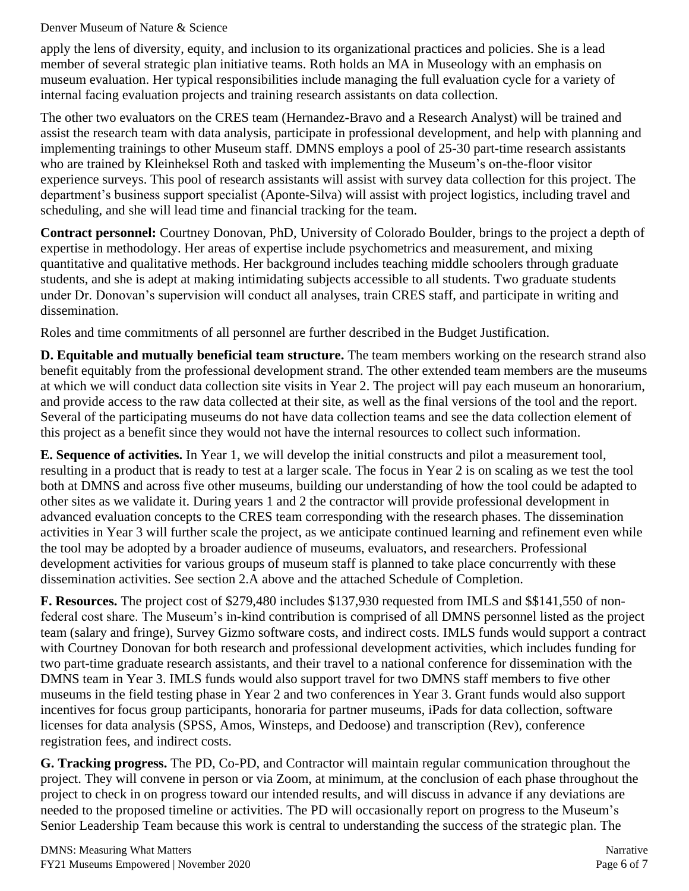apply the lens of diversity, equity, and inclusion to its organizational practices and policies. She is a lead member of several strategic plan initiative teams. Roth holds an MA in Museology with an emphasis on museum evaluation. Her typical responsibilities include managing the full evaluation cycle for a variety of internal facing evaluation projects and training research assistants on data collection.

The other two evaluators on the CRES team (Hernandez-Bravo and a Research Analyst) will be trained and assist the research team with data analysis, participate in professional development, and help with planning and implementing trainings to other Museum staff. DMNS employs a pool of 25-30 part-time research assistants who are trained by Kleinheksel Roth and tasked with implementing the Museum's on-the-floor visitor experience surveys. This pool of research assistants will assist with survey data collection for this project. The department's business support specialist (Aponte-Silva) will assist with project logistics, including travel and scheduling, and she will lead time and financial tracking for the team.

**Contract personnel:** Courtney Donovan, PhD, University of Colorado Boulder, brings to the project a depth of expertise in methodology. Her areas of expertise include psychometrics and measurement, and mixing quantitative and qualitative methods. Her background includes teaching middle schoolers through graduate students, and she is adept at making intimidating subjects accessible to all students. Two graduate students under Dr. Donovan's supervision will conduct all analyses, train CRES staff, and participate in writing and dissemination.

Roles and time commitments of all personnel are further described in the Budget Justification.

**D. Equitable and mutually beneficial team structure.** The team members working on the research strand also benefit equitably from the professional development strand. The other extended team members are the museums at which we will conduct data collection site visits in Year 2. The project will pay each museum an honorarium, and provide access to the raw data collected at their site, as well as the final versions of the tool and the report. Several of the participating museums do not have data collection teams and see the data collection element of this project as a benefit since they would not have the internal resources to collect such information.

**E. Sequence of activities.** In Year 1, we will develop the initial constructs and pilot a measurement tool, resulting in a product that is ready to test at a larger scale. The focus in Year 2 is on scaling as we test the tool both at DMNS and across five other museums, building our understanding of how the tool could be adapted to other sites as we validate it. During years 1 and 2 the contractor will provide professional development in advanced evaluation concepts to the CRES team corresponding with the research phases. The dissemination activities in Year 3 will further scale the project, as we anticipate continued learning and refinement even while the tool may be adopted by a broader audience of museums, evaluators, and researchers. Professional development activities for various groups of museum staff is planned to take place concurrently with these dissemination activities. See section 2.A above and the attached Schedule of Completion.

**F. Resources.** The project cost of \$279,480 includes \$137,930 requested from IMLS and \$\$141,550 of nonfederal cost share. The Museum's in-kind contribution is comprised of all DMNS personnel listed as the project team (salary and fringe), Survey Gizmo software costs, and indirect costs. IMLS funds would support a contract with Courtney Donovan for both research and professional development activities, which includes funding for two part-time graduate research assistants, and their travel to a national conference for dissemination with the DMNS team in Year 3. IMLS funds would also support travel for two DMNS staff members to five other museums in the field testing phase in Year 2 and two conferences in Year 3. Grant funds would also support incentives for focus group participants, honoraria for partner museums, iPads for data collection, software licenses for data analysis (SPSS, Amos, Winsteps, and Dedoose) and transcription (Rev), conference registration fees, and indirect costs.

**G. Tracking progress.** The PD, Co-PD, and Contractor will maintain regular communication throughout the project. They will convene in person or via Zoom, at minimum, at the conclusion of each phase throughout the project to check in on progress toward our intended results, and will discuss in advance if any deviations are needed to the proposed timeline or activities. The PD will occasionally report on progress to the Museum's Senior Leadership Team because this work is central to understanding the success of the strategic plan. The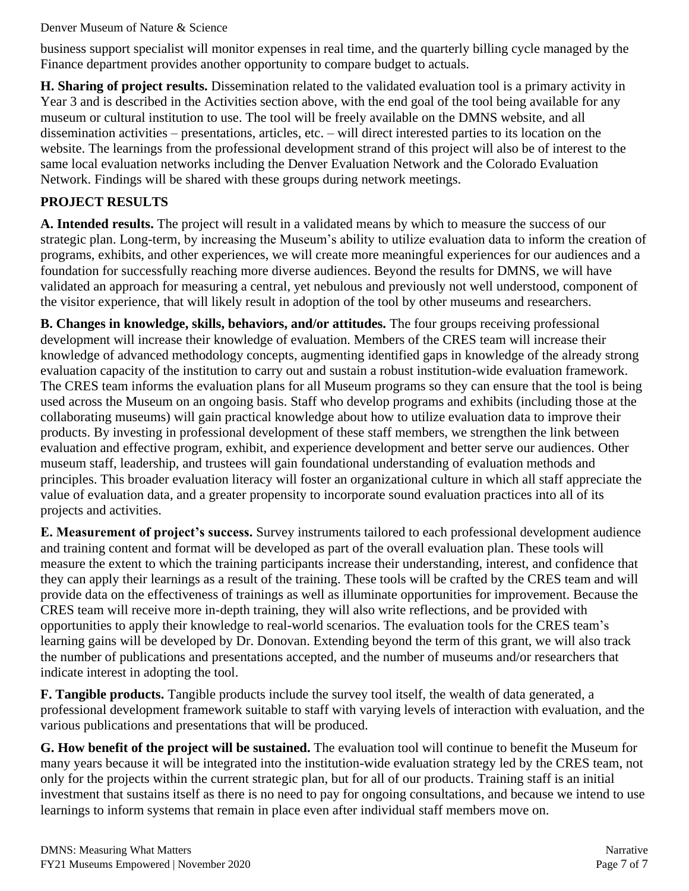business support specialist will monitor expenses in real time, and the quarterly billing cycle managed by the Finance department provides another opportunity to compare budget to actuals.

**H. Sharing of project results.** Dissemination related to the validated evaluation tool is a primary activity in Year 3 and is described in the Activities section above, with the end goal of the tool being available for any museum or cultural institution to use. The tool will be freely available on the DMNS website, and all dissemination activities – presentations, articles, etc. – will direct interested parties to its location on the website. The learnings from the professional development strand of this project will also be of interest to the same local evaluation networks including the Denver Evaluation Network and the Colorado Evaluation Network. Findings will be shared with these groups during network meetings. **3.**

# **PROJECT RESULTS**

**A. Intended results.** The project will result in a validated means by which to measure the success of our strategic plan. Long-term, by increasing the Museum's ability to utilize evaluation data to inform the creation of programs, exhibits, and other experiences, we will create more meaningful experiences for our audiences and a foundation for successfully reaching more diverse audiences. Beyond the results for DMNS, we will have validated an approach for measuring a central, yet nebulous and previously not well understood, component of the visitor experience, that will likely result in adoption of the tool by other museums and researchers.

**B. Changes in knowledge, skills, behaviors, and/or attitudes.** The four groups receiving professional development will increase their knowledge of evaluation. Members of the CRES team will increase their knowledge of advanced methodology concepts, augmenting identified gaps in knowledge of the already strong evaluation capacity of the institution to carry out and sustain a robust institution-wide evaluation framework. The CRES team informs the evaluation plans for all Museum programs so they can ensure that the tool is being used across the Museum on an ongoing basis. Staff who develop programs and exhibits (including those at the collaborating museums) will gain practical knowledge about how to utilize evaluation data to improve their products. By investing in professional development of these staff members, we strengthen the link between evaluation and effective program, exhibit, and experience development and better serve our audiences. Other museum staff, leadership, and trustees will gain foundational understanding of evaluation methods and principles. This broader evaluation literacy will foster an organizational culture in which all staff appreciate the value of evaluation data, and a greater propensity to incorporate sound evaluation practices into all of its projects and activities.

**E. Measurement of project's success.** Survey instruments tailored to each professional development audience and training content and format will be developed as part of the overall evaluation plan. These tools will measure the extent to which the training participants increase their understanding, interest, and confidence that they can apply their learnings as a result of the training. These tools will be crafted by the CRES team and will provide data on the effectiveness of trainings as well as illuminate opportunities for improvement. Because the CRES team will receive more in-depth training, they will also write reflections, and be provided with opportunities to apply their knowledge to real-world scenarios. The evaluation tools for the CRES team's learning gains will be developed by Dr. Donovan. Extending beyond the term of this grant, we will also track the number of publications and presentations accepted, and the number of museums and/or researchers that indicate interest in adopting the tool.

**F. Tangible products.** Tangible products include the survey tool itself, the wealth of data generated, a professional development framework suitable to staff with varying levels of interaction with evaluation, and the various publications and presentations that will be produced.

**G. How benefit of the project will be sustained.** The evaluation tool will continue to benefit the Museum for many years because it will be integrated into the institution-wide evaluation strategy led by the CRES team, not only for the projects within the current strategic plan, but for all of our products. Training staff is an initial investment that sustains itself as there is no need to pay for ongoing consultations, and because we intend to use learnings to inform systems that remain in place even after individual staff members move on.